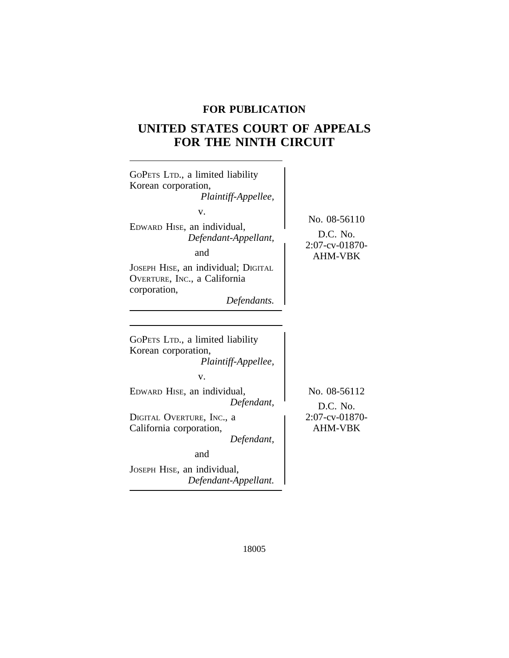# **FOR PUBLICATION**

# **UNITED STATES COURT OF APPEALS FOR THE NINTH CIRCUIT**

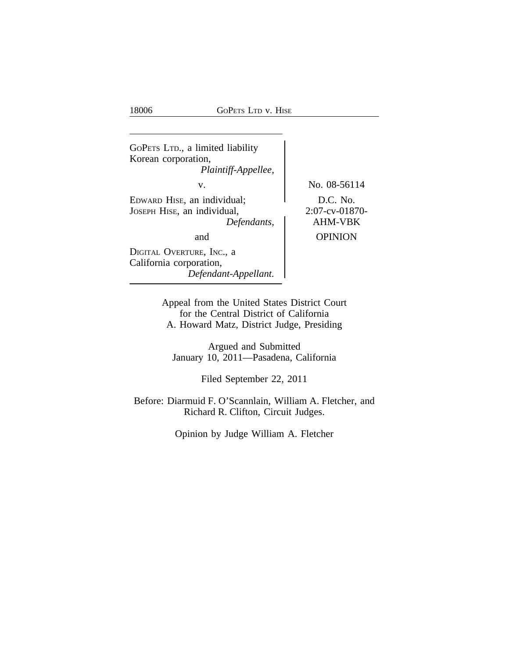18006 GoPETS LTD v. HISE

<sup>G</sup>OPETS LTD., a limited liability Korean corporation, *Plaintiff-Appellee,* v. No. 08-56114 EDWARD HISE, an individual; D.C. No. JOSEPH HISE, an individual,<br>Defendants, <br>AHM-VBK  $Defendants,$ and OPINION DIGITAL OVERTURE, INC., a California corporation, *Defendant-Appellant.*

> Appeal from the United States District Court for the Central District of California A. Howard Matz, District Judge, Presiding

Argued and Submitted January 10, 2011—Pasadena, California

Filed September 22, 2011

Before: Diarmuid F. O'Scannlain, William A. Fletcher, and Richard R. Clifton, Circuit Judges.

Opinion by Judge William A. Fletcher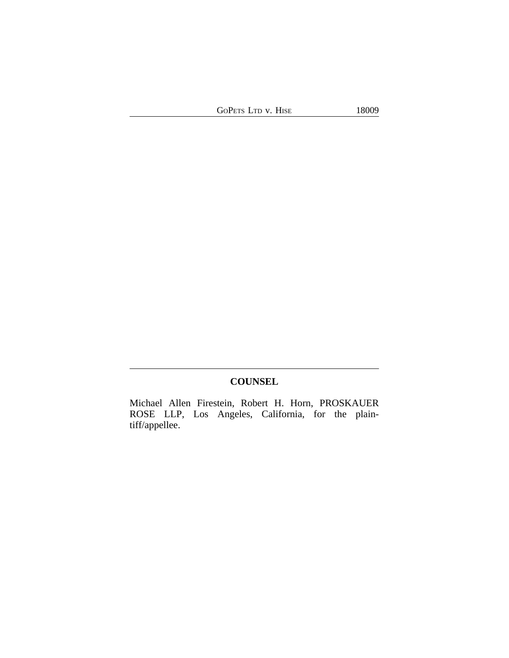GOPETS LTD v. HISE 18009

**COUNSEL**

Michael Allen Firestein, Robert H. Horn, PROSKAUER ROSE LLP, Los Angeles, California, for the plaintiff/appellee.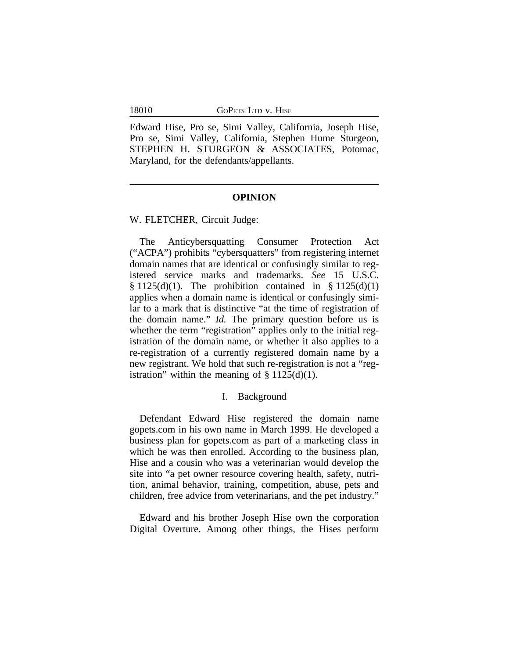18010 GoPETS LTD v. HISE

Edward Hise, Pro se, Simi Valley, California, Joseph Hise, Pro se, Simi Valley, California, Stephen Hume Sturgeon, STEPHEN H. STURGEON & ASSOCIATES, Potomac, Maryland, for the defendants/appellants.

#### **OPINION**

W. FLETCHER, Circuit Judge:

The Anticybersquatting Consumer Protection Act ("ACPA") prohibits "cybersquatters" from registering internet domain names that are identical or confusingly similar to registered service marks and trademarks. *See* 15 U.S.C.  $§ 1125(d)(1)$ . The prohibition contained in  $§ 1125(d)(1)$ applies when a domain name is identical or confusingly similar to a mark that is distinctive "at the time of registration of the domain name." *Id.* The primary question before us is whether the term "registration" applies only to the initial registration of the domain name, or whether it also applies to a re-registration of a currently registered domain name by a new registrant. We hold that such re-registration is not a "registration" within the meaning of  $\S 1125(d)(1)$ .

### I. Background

Defendant Edward Hise registered the domain name gopets.com in his own name in March 1999. He developed a business plan for gopets.com as part of a marketing class in which he was then enrolled. According to the business plan, Hise and a cousin who was a veterinarian would develop the site into "a pet owner resource covering health, safety, nutrition, animal behavior, training, competition, abuse, pets and children, free advice from veterinarians, and the pet industry."

Edward and his brother Joseph Hise own the corporation Digital Overture. Among other things, the Hises perform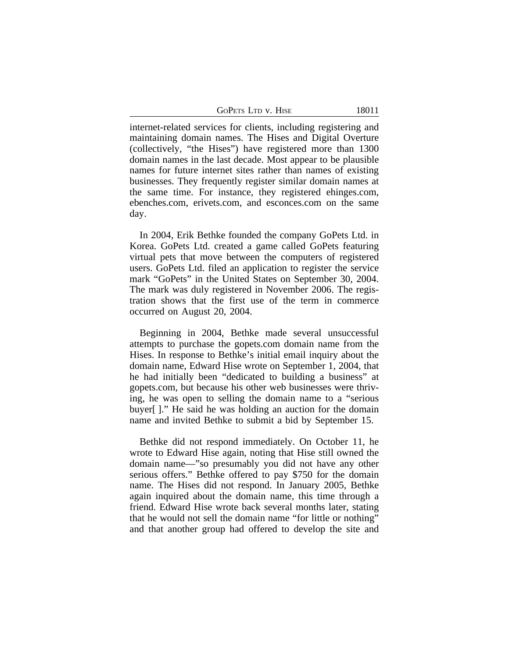GOPETS LTD V. HISE 18011

internet-related services for clients, including registering and maintaining domain names. The Hises and Digital Overture (collectively, "the Hises") have registered more than 1300 domain names in the last decade. Most appear to be plausible names for future internet sites rather than names of existing businesses. They frequently register similar domain names at the same time. For instance, they registered ehinges.com, ebenches.com, erivets.com, and esconces.com on the same day.

In 2004, Erik Bethke founded the company GoPets Ltd. in Korea. GoPets Ltd. created a game called GoPets featuring virtual pets that move between the computers of registered users. GoPets Ltd. filed an application to register the service mark "GoPets" in the United States on September 30, 2004. The mark was duly registered in November 2006. The registration shows that the first use of the term in commerce occurred on August 20, 2004.

Beginning in 2004, Bethke made several unsuccessful attempts to purchase the gopets.com domain name from the Hises. In response to Bethke's initial email inquiry about the domain name, Edward Hise wrote on September 1, 2004, that he had initially been "dedicated to building a business" at gopets.com, but because his other web businesses were thriving, he was open to selling the domain name to a "serious buyer[ ]." He said he was holding an auction for the domain name and invited Bethke to submit a bid by September 15.

Bethke did not respond immediately. On October 11, he wrote to Edward Hise again, noting that Hise still owned the domain name—"so presumably you did not have any other serious offers." Bethke offered to pay \$750 for the domain name. The Hises did not respond. In January 2005, Bethke again inquired about the domain name, this time through a friend. Edward Hise wrote back several months later, stating that he would not sell the domain name "for little or nothing" and that another group had offered to develop the site and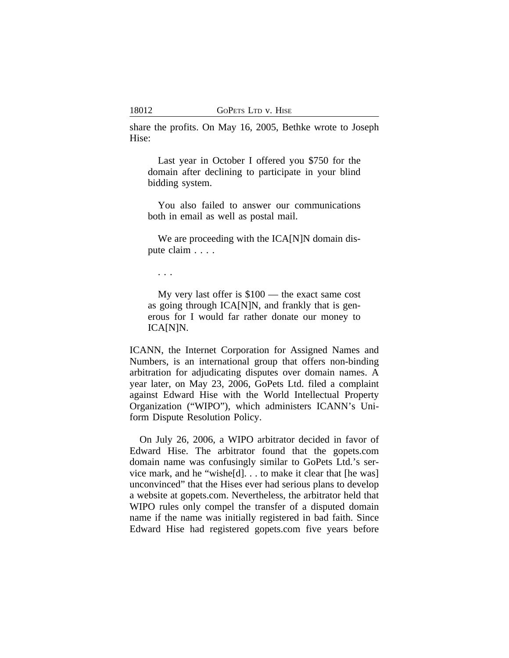share the profits. On May 16, 2005, Bethke wrote to Joseph Hise:

Last year in October I offered you \$750 for the domain after declining to participate in your blind bidding system.

You also failed to answer our communications both in email as well as postal mail.

We are proceeding with the ICA[N]N domain dispute claim . . . .

. . .

My very last offer is \$100 — the exact same cost as going through ICA[N]N, and frankly that is generous for I would far rather donate our money to ICA[N]N.

ICANN, the Internet Corporation for Assigned Names and Numbers, is an international group that offers non-binding arbitration for adjudicating disputes over domain names. A year later, on May 23, 2006, GoPets Ltd. filed a complaint against Edward Hise with the World Intellectual Property Organization ("WIPO"), which administers ICANN's Uniform Dispute Resolution Policy.

On July 26, 2006, a WIPO arbitrator decided in favor of Edward Hise. The arbitrator found that the gopets.com domain name was confusingly similar to GoPets Ltd.'s service mark, and he "wishe[d]. . . to make it clear that [he was] unconvinced" that the Hises ever had serious plans to develop a website at gopets.com. Nevertheless, the arbitrator held that WIPO rules only compel the transfer of a disputed domain name if the name was initially registered in bad faith. Since Edward Hise had registered gopets.com five years before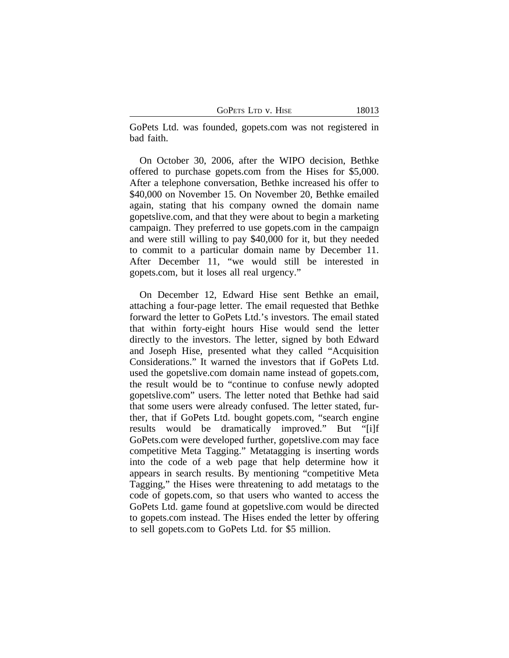GOPETS LTD V. HISE 18013

GoPets Ltd. was founded, gopets.com was not registered in bad faith.

On October 30, 2006, after the WIPO decision, Bethke offered to purchase gopets.com from the Hises for \$5,000. After a telephone conversation, Bethke increased his offer to \$40,000 on November 15. On November 20, Bethke emailed again, stating that his company owned the domain name gopetslive.com, and that they were about to begin a marketing campaign. They preferred to use gopets.com in the campaign and were still willing to pay \$40,000 for it, but they needed to commit to a particular domain name by December 11. After December 11, "we would still be interested in gopets.com, but it loses all real urgency."

On December 12, Edward Hise sent Bethke an email, attaching a four-page letter. The email requested that Bethke forward the letter to GoPets Ltd.'s investors. The email stated that within forty-eight hours Hise would send the letter directly to the investors. The letter, signed by both Edward and Joseph Hise, presented what they called "Acquisition Considerations." It warned the investors that if GoPets Ltd. used the gopetslive.com domain name instead of gopets.com, the result would be to "continue to confuse newly adopted gopetslive.com" users. The letter noted that Bethke had said that some users were already confused. The letter stated, further, that if GoPets Ltd. bought gopets.com, "search engine results would be dramatically improved." But "[i]f GoPets.com were developed further, gopetslive.com may face competitive Meta Tagging." Metatagging is inserting words into the code of a web page that help determine how it appears in search results. By mentioning "competitive Meta Tagging," the Hises were threatening to add metatags to the code of gopets.com, so that users who wanted to access the GoPets Ltd. game found at gopetslive.com would be directed to gopets.com instead. The Hises ended the letter by offering to sell gopets.com to GoPets Ltd. for \$5 million.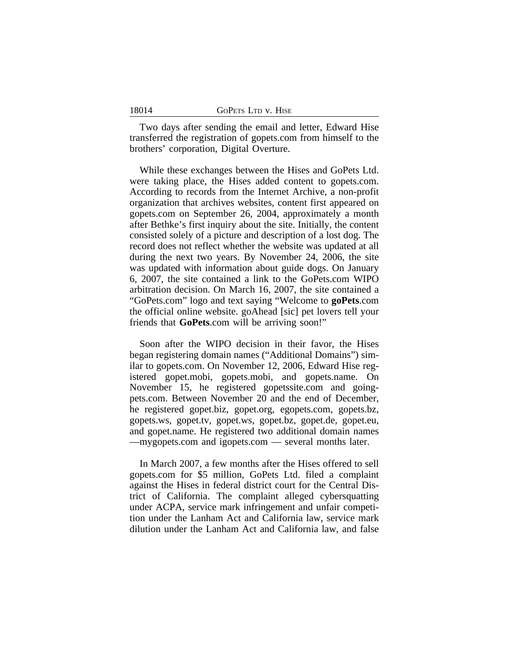18014

Two days after sending the email and letter, Edward Hise transferred the registration of gopets.com from himself to the brothers' corporation, Digital Overture.

While these exchanges between the Hises and GoPets Ltd. were taking place, the Hises added content to gopets.com. According to records from the Internet Archive, a non-profit organization that archives websites, content first appeared on gopets.com on September 26, 2004, approximately a month after Bethke's first inquiry about the site. Initially, the content consisted solely of a picture and description of a lost dog. The record does not reflect whether the website was updated at all during the next two years. By November 24, 2006, the site was updated with information about guide dogs. On January 6, 2007, the site contained a link to the GoPets.com WIPO arbitration decision. On March 16, 2007, the site contained a "GoPets.com" logo and text saying "Welcome to **goPets**.com the official online website. goAhead [sic] pet lovers tell your friends that **GoPets**.com will be arriving soon!"

Soon after the WIPO decision in their favor, the Hises began registering domain names ("Additional Domains") similar to gopets.com. On November 12, 2006, Edward Hise registered gopet.mobi, gopets.mobi, and gopets.name. On November 15, he registered gopetssite.com and goingpets.com. Between November 20 and the end of December, he registered gopet.biz, gopet.org, egopets.com, gopets.bz, gopets.ws, gopet.tv, gopet.ws, gopet.bz, gopet.de, gopet.eu, and gopet.name. He registered two additional domain names —mygopets.com and igopets.com — several months later.

In March 2007, a few months after the Hises offered to sell gopets.com for \$5 million, GoPets Ltd. filed a complaint against the Hises in federal district court for the Central District of California. The complaint alleged cybersquatting under ACPA, service mark infringement and unfair competition under the Lanham Act and California law, service mark dilution under the Lanham Act and California law, and false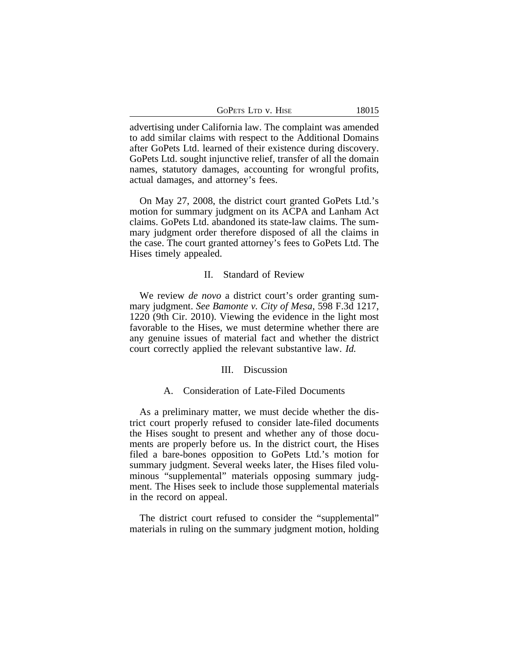| GOPETS LTD V. HISE | 18015 |
|--------------------|-------|
|--------------------|-------|

advertising under California law. The complaint was amended to add similar claims with respect to the Additional Domains after GoPets Ltd. learned of their existence during discovery. GoPets Ltd. sought injunctive relief, transfer of all the domain names, statutory damages, accounting for wrongful profits, actual damages, and attorney's fees.

On May 27, 2008, the district court granted GoPets Ltd.'s motion for summary judgment on its ACPA and Lanham Act claims. GoPets Ltd. abandoned its state-law claims. The summary judgment order therefore disposed of all the claims in the case. The court granted attorney's fees to GoPets Ltd. The Hises timely appealed.

### II. Standard of Review

We review *de novo* a district court's order granting summary judgment. *See Bamonte v. City of Mesa*, 598 F.3d 1217, 1220 (9th Cir. 2010). Viewing the evidence in the light most favorable to the Hises, we must determine whether there are any genuine issues of material fact and whether the district court correctly applied the relevant substantive law. *Id.*

### III. Discussion

### A. Consideration of Late-Filed Documents

As a preliminary matter, we must decide whether the district court properly refused to consider late-filed documents the Hises sought to present and whether any of those documents are properly before us. In the district court, the Hises filed a bare-bones opposition to GoPets Ltd.'s motion for summary judgment. Several weeks later, the Hises filed voluminous "supplemental" materials opposing summary judgment. The Hises seek to include those supplemental materials in the record on appeal.

The district court refused to consider the "supplemental" materials in ruling on the summary judgment motion, holding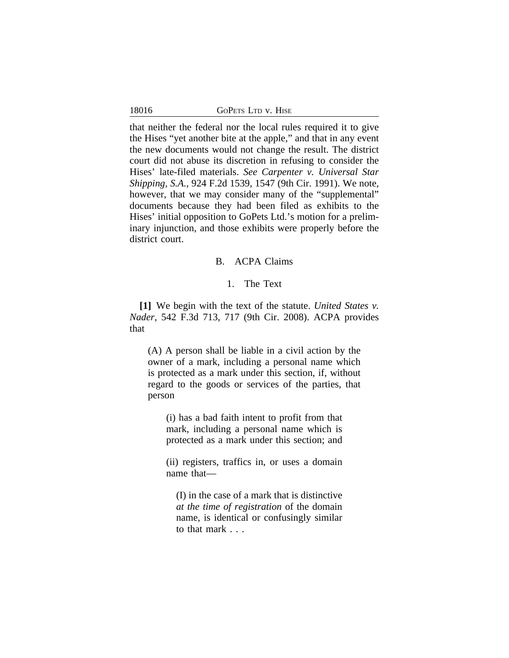|  | 18016 | GOPETS LTD V. HISE |
|--|-------|--------------------|
|--|-------|--------------------|

that neither the federal nor the local rules required it to give the Hises "yet another bite at the apple," and that in any event the new documents would not change the result. The district court did not abuse its discretion in refusing to consider the Hises' late-filed materials. *See Carpenter v. Universal Star Shipping, S.A.*, 924 F.2d 1539, 1547 (9th Cir. 1991). We note, however, that we may consider many of the "supplemental" documents because they had been filed as exhibits to the Hises' initial opposition to GoPets Ltd.'s motion for a preliminary injunction, and those exhibits were properly before the district court.

# B. ACPA Claims

# 1. The Text

**[1]** We begin with the text of the statute. *United States v. Nader*, 542 F.3d 713, 717 (9th Cir. 2008). ACPA provides that

(A) A person shall be liable in a civil action by the owner of a mark, including a personal name which is protected as a mark under this section, if, without regard to the goods or services of the parties, that person

(i) has a bad faith intent to profit from that mark, including a personal name which is protected as a mark under this section; and

(ii) registers, traffics in, or uses a domain name that—

(I) in the case of a mark that is distinctive *at the time of registration* of the domain name, is identical or confusingly similar to that mark . . .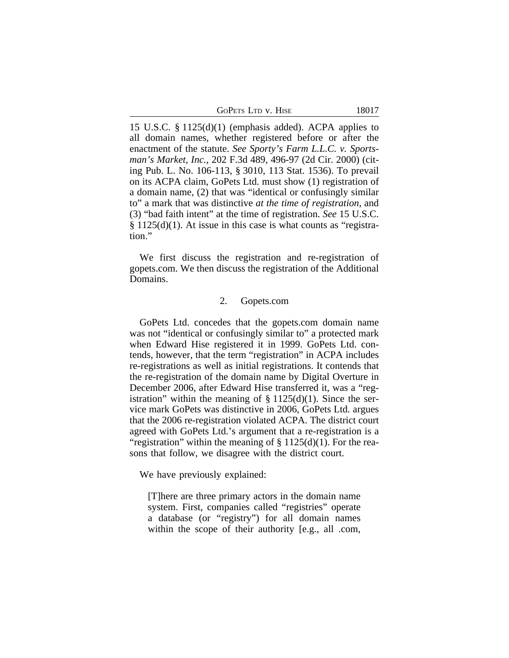| GoPets Ltd v. Hise |  |  |
|--------------------|--|--|
|                    |  |  |

15 U.S.C. § 1125(d)(1) (emphasis added). ACPA applies to all domain names, whether registered before or after the enactment of the statute. *See Sporty's Farm L.L.C. v. Sportsman's Market, Inc.*, 202 F.3d 489, 496-97 (2d Cir. 2000) (citing Pub. L. No. 106-113, § 3010, 113 Stat. 1536). To prevail on its ACPA claim, GoPets Ltd. must show (1) registration of a domain name, (2) that was "identical or confusingly similar to" a mark that was distinctive *at the time of registration*, and (3) "bad faith intent" at the time of registration. *See* 15 U.S.C. § 1125(d)(1). At issue in this case is what counts as "registration."

We first discuss the registration and re-registration of gopets.com. We then discuss the registration of the Additional Domains.

# 2. Gopets.com

GoPets Ltd. concedes that the gopets.com domain name was not "identical or confusingly similar to" a protected mark when Edward Hise registered it in 1999. GoPets Ltd. contends, however, that the term "registration" in ACPA includes re-registrations as well as initial registrations. It contends that the re-registration of the domain name by Digital Overture in December 2006, after Edward Hise transferred it, was a "registration" within the meaning of  $\S 1125(d)(1)$ . Since the service mark GoPets was distinctive in 2006, GoPets Ltd. argues that the 2006 re-registration violated ACPA. The district court agreed with GoPets Ltd.'s argument that a re-registration is a "registration" within the meaning of  $\S 1125(d)(1)$ . For the reasons that follow, we disagree with the district court.

We have previously explained:

[T]here are three primary actors in the domain name system. First, companies called "registries" operate a database (or "registry") for all domain names within the scope of their authority [e.g., all .com,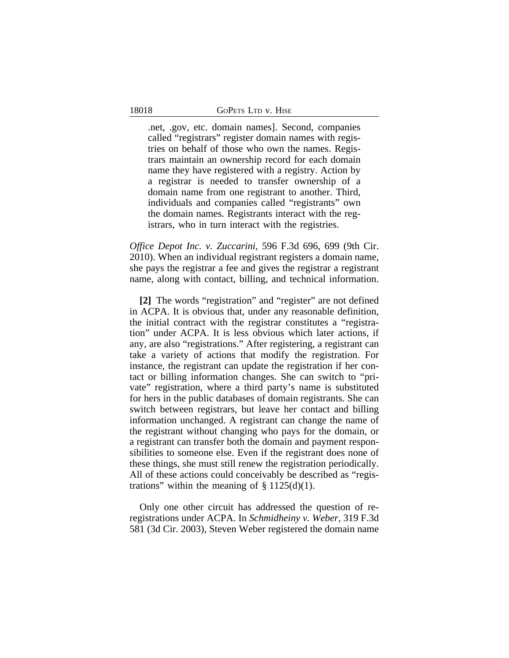.net, .gov, etc. domain names]. Second, companies called "registrars" register domain names with registries on behalf of those who own the names. Registrars maintain an ownership record for each domain name they have registered with a registry. Action by a registrar is needed to transfer ownership of a domain name from one registrant to another. Third, individuals and companies called "registrants" own the domain names. Registrants interact with the registrars, who in turn interact with the registries.

*Office Depot Inc. v. Zuccarini*, 596 F.3d 696, 699 (9th Cir. 2010). When an individual registrant registers a domain name, she pays the registrar a fee and gives the registrar a registrant name, along with contact, billing, and technical information.

**[2]** The words "registration" and "register" are not defined in ACPA. It is obvious that, under any reasonable definition, the initial contract with the registrar constitutes a "registration" under ACPA. It is less obvious which later actions, if any, are also "registrations." After registering, a registrant can take a variety of actions that modify the registration. For instance, the registrant can update the registration if her contact or billing information changes. She can switch to "private" registration, where a third party's name is substituted for hers in the public databases of domain registrants. She can switch between registrars, but leave her contact and billing information unchanged. A registrant can change the name of the registrant without changing who pays for the domain, or a registrant can transfer both the domain and payment responsibilities to someone else. Even if the registrant does none of these things, she must still renew the registration periodically. All of these actions could conceivably be described as "registrations" within the meaning of  $\S 1125(d)(1)$ .

Only one other circuit has addressed the question of reregistrations under ACPA. In *Schmidheiny v. Weber*, 319 F.3d 581 (3d Cir. 2003), Steven Weber registered the domain name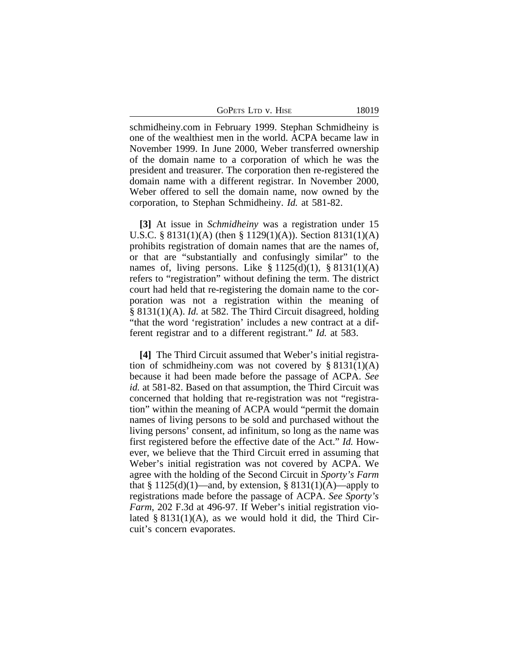GOPETS LTD V. HISE 18019

schmidheiny.com in February 1999. Stephan Schmidheiny is one of the wealthiest men in the world. ACPA became law in November 1999. In June 2000, Weber transferred ownership of the domain name to a corporation of which he was the president and treasurer. The corporation then re-registered the domain name with a different registrar. In November 2000, Weber offered to sell the domain name, now owned by the corporation, to Stephan Schmidheiny. *Id.* at 581-82.

**[3]** At issue in *Schmidheiny* was a registration under 15 U.S.C. § 8131(1)(A) (then § 1129(1)(A)). Section 8131(1)(A) prohibits registration of domain names that are the names of, or that are "substantially and confusingly similar" to the names of, living persons. Like  $\S 1125(d)(1)$ ,  $\S 8131(1)(A)$ refers to "registration" without defining the term. The district court had held that re-registering the domain name to the corporation was not a registration within the meaning of § 8131(1)(A). *Id.* at 582. The Third Circuit disagreed, holding "that the word 'registration' includes a new contract at a different registrar and to a different registrant." *Id.* at 583.

**[4]** The Third Circuit assumed that Weber's initial registration of schmidheiny.com was not covered by  $\S 8131(1)(A)$ because it had been made before the passage of ACPA. *See id.* at 581-82. Based on that assumption, the Third Circuit was concerned that holding that re-registration was not "registration" within the meaning of ACPA would "permit the domain names of living persons to be sold and purchased without the living persons' consent, ad infinitum, so long as the name was first registered before the effective date of the Act." *Id.* However, we believe that the Third Circuit erred in assuming that Weber's initial registration was not covered by ACPA. We agree with the holding of the Second Circuit in *Sporty's Farm* that  $\S 1125(d)(1)$ —and, by extension,  $\S 8131(1)(A)$ —apply to registrations made before the passage of ACPA. *See Sporty's Farm*, 202 F.3d at 496-97. If Weber's initial registration violated  $\S 8131(1)(A)$ , as we would hold it did, the Third Circuit's concern evaporates.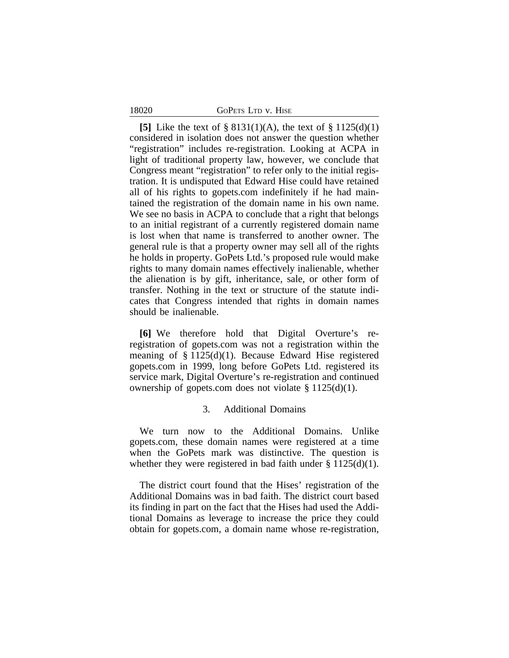| GOPETS LTD V. HISE |  |
|--------------------|--|
|--------------------|--|

18020

**[5]** Like the text of § 8131(1)(A), the text of § 1125(d)(1) considered in isolation does not answer the question whether "registration" includes re-registration. Looking at ACPA in light of traditional property law, however, we conclude that Congress meant "registration" to refer only to the initial registration. It is undisputed that Edward Hise could have retained all of his rights to gopets.com indefinitely if he had maintained the registration of the domain name in his own name. We see no basis in ACPA to conclude that a right that belongs to an initial registrant of a currently registered domain name is lost when that name is transferred to another owner. The general rule is that a property owner may sell all of the rights he holds in property. GoPets Ltd.'s proposed rule would make rights to many domain names effectively inalienable, whether the alienation is by gift, inheritance, sale, or other form of transfer. Nothing in the text or structure of the statute indicates that Congress intended that rights in domain names should be inalienable.

**[6]** We therefore hold that Digital Overture's reregistration of gopets.com was not a registration within the meaning of § 1125(d)(1). Because Edward Hise registered gopets.com in 1999, long before GoPets Ltd. registered its service mark, Digital Overture's re-registration and continued ownership of gopets.com does not violate  $\S 1125(d)(1)$ .

### 3. Additional Domains

We turn now to the Additional Domains. Unlike gopets.com, these domain names were registered at a time when the GoPets mark was distinctive. The question is whether they were registered in bad faith under  $\S 1125(d)(1)$ .

The district court found that the Hises' registration of the Additional Domains was in bad faith. The district court based its finding in part on the fact that the Hises had used the Additional Domains as leverage to increase the price they could obtain for gopets.com, a domain name whose re-registration,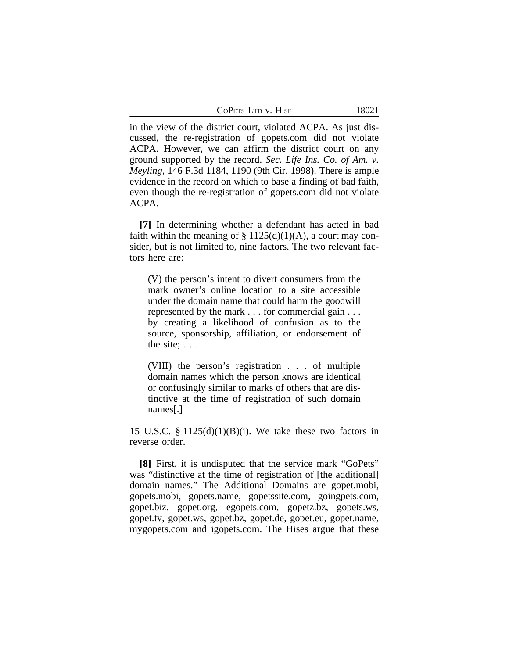GOPETS LTD v. HISE 18021

in the view of the district court, violated ACPA. As just discussed, the re-registration of gopets.com did not violate ACPA. However, we can affirm the district court on any ground supported by the record. *Sec. Life Ins. Co. of Am. v. Meyling*, 146 F.3d 1184, 1190 (9th Cir. 1998). There is ample evidence in the record on which to base a finding of bad faith, even though the re-registration of gopets.com did not violate ACPA.

**[7]** In determining whether a defendant has acted in bad faith within the meaning of  $\S 1125(d)(1)(A)$ , a court may consider, but is not limited to, nine factors. The two relevant factors here are:

(V) the person's intent to divert consumers from the mark owner's online location to a site accessible under the domain name that could harm the goodwill represented by the mark . . . for commercial gain . . . by creating a likelihood of confusion as to the source, sponsorship, affiliation, or endorsement of the site; . . .

(VIII) the person's registration . . . of multiple domain names which the person knows are identical or confusingly similar to marks of others that are distinctive at the time of registration of such domain names[.]

15 U.S.C.  $\S 1125(d)(1)(B)(i)$ . We take these two factors in reverse order.

**[8]** First, it is undisputed that the service mark "GoPets" was "distinctive at the time of registration of [the additional] domain names." The Additional Domains are gopet.mobi, gopets.mobi, gopets.name, gopetssite.com, goingpets.com, gopet.biz, gopet.org, egopets.com, gopetz.bz, gopets.ws, gopet.tv, gopet.ws, gopet.bz, gopet.de, gopet.eu, gopet.name, mygopets.com and igopets.com. The Hises argue that these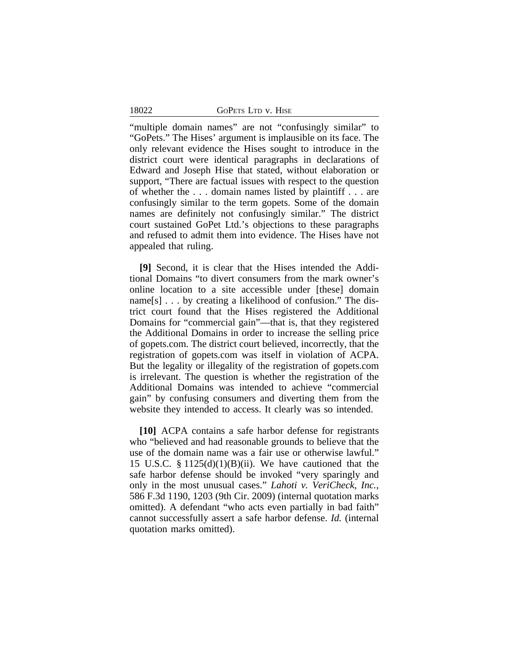18022 GOPETS LTD v. HISE

"multiple domain names" are not "confusingly similar" to "GoPets." The Hises' argument is implausible on its face. The only relevant evidence the Hises sought to introduce in the district court were identical paragraphs in declarations of Edward and Joseph Hise that stated, without elaboration or support, "There are factual issues with respect to the question of whether the . . . domain names listed by plaintiff . . . are confusingly similar to the term gopets. Some of the domain names are definitely not confusingly similar." The district court sustained GoPet Ltd.'s objections to these paragraphs and refused to admit them into evidence. The Hises have not appealed that ruling.

**[9]** Second, it is clear that the Hises intended the Additional Domains "to divert consumers from the mark owner's online location to a site accessible under [these] domain name<sup>[s]</sup> . . . by creating a likelihood of confusion." The district court found that the Hises registered the Additional Domains for "commercial gain"—that is, that they registered the Additional Domains in order to increase the selling price of gopets.com. The district court believed, incorrectly, that the registration of gopets.com was itself in violation of ACPA. But the legality or illegality of the registration of gopets.com is irrelevant. The question is whether the registration of the Additional Domains was intended to achieve "commercial gain" by confusing consumers and diverting them from the website they intended to access. It clearly was so intended.

**[10]** ACPA contains a safe harbor defense for registrants who "believed and had reasonable grounds to believe that the use of the domain name was a fair use or otherwise lawful." 15 U.S.C. § 1125(d)(1)(B)(ii). We have cautioned that the safe harbor defense should be invoked "very sparingly and only in the most unusual cases." *Lahoti v. VeriCheck, Inc.*, 586 F.3d 1190, 1203 (9th Cir. 2009) (internal quotation marks omitted). A defendant "who acts even partially in bad faith" cannot successfully assert a safe harbor defense. *Id.* (internal quotation marks omitted).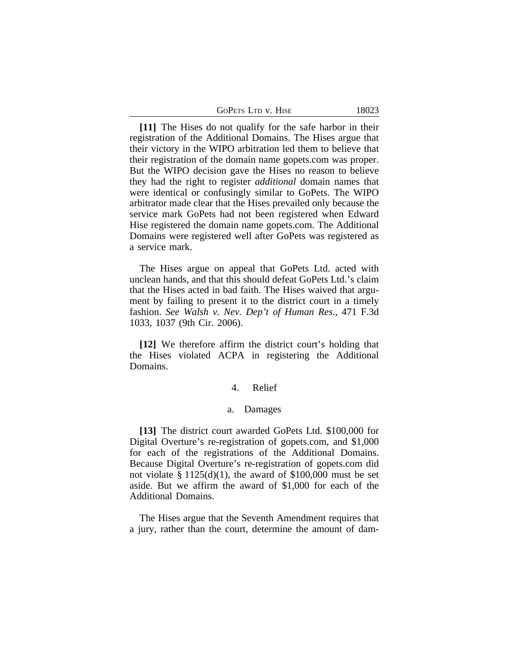| GOPETS LTD V. HISE | 18023 |
|--------------------|-------|
|--------------------|-------|

**[11]** The Hises do not qualify for the safe harbor in their registration of the Additional Domains. The Hises argue that their victory in the WIPO arbitration led them to believe that their registration of the domain name gopets.com was proper. But the WIPO decision gave the Hises no reason to believe they had the right to register *additional* domain names that were identical or confusingly similar to GoPets. The WIPO arbitrator made clear that the Hises prevailed only because the service mark GoPets had not been registered when Edward Hise registered the domain name gopets.com. The Additional Domains were registered well after GoPets was registered as a service mark.

The Hises argue on appeal that GoPets Ltd. acted with unclean hands, and that this should defeat GoPets Ltd.'s claim that the Hises acted in bad faith. The Hises waived that argument by failing to present it to the district court in a timely fashion. *See Walsh v. Nev. Dep't of Human Res*., 471 F.3d 1033, 1037 (9th Cir. 2006).

**[12]** We therefore affirm the district court's holding that the Hises violated ACPA in registering the Additional Domains.

# 4. Relief

### a. Damages

**[13]** The district court awarded GoPets Ltd. \$100,000 for Digital Overture's re-registration of gopets.com, and \$1,000 for each of the registrations of the Additional Domains. Because Digital Overture's re-registration of gopets.com did not violate  $\S 1125(d)(1)$ , the award of \$100,000 must be set aside. But we affirm the award of \$1,000 for each of the Additional Domains.

The Hises argue that the Seventh Amendment requires that a jury, rather than the court, determine the amount of dam-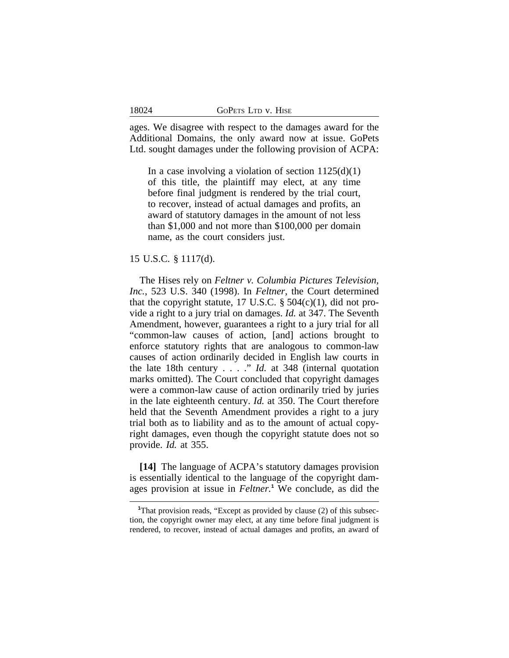ages. We disagree with respect to the damages award for the Additional Domains, the only award now at issue. GoPets Ltd. sought damages under the following provision of ACPA:

In a case involving a violation of section  $1125(d)(1)$ of this title, the plaintiff may elect, at any time before final judgment is rendered by the trial court, to recover, instead of actual damages and profits, an award of statutory damages in the amount of not less than \$1,000 and not more than \$100,000 per domain name, as the court considers just.

## 15 U.S.C. § 1117(d).

18024

The Hises rely on *Feltner v. Columbia Pictures Television, Inc.*, 523 U.S. 340 (1998). In *Feltner*, the Court determined that the copyright statute, 17 U.S.C.  $\S$  504(c)(1), did not provide a right to a jury trial on damages. *Id.* at 347. The Seventh Amendment, however, guarantees a right to a jury trial for all "common-law causes of action, [and] actions brought to enforce statutory rights that are analogous to common-law causes of action ordinarily decided in English law courts in the late 18th century . . . ." *Id.* at 348 (internal quotation marks omitted). The Court concluded that copyright damages were a common-law cause of action ordinarily tried by juries in the late eighteenth century. *Id.* at 350. The Court therefore held that the Seventh Amendment provides a right to a jury trial both as to liability and as to the amount of actual copyright damages, even though the copyright statute does not so provide. *Id.* at 355.

**[14]** The language of ACPA's statutory damages provision is essentially identical to the language of the copyright damages provision at issue in *Feltner.***<sup>1</sup>** We conclude, as did the

<sup>&</sup>lt;sup>1</sup>That provision reads, "Except as provided by clause (2) of this subsection, the copyright owner may elect, at any time before final judgment is rendered, to recover, instead of actual damages and profits, an award of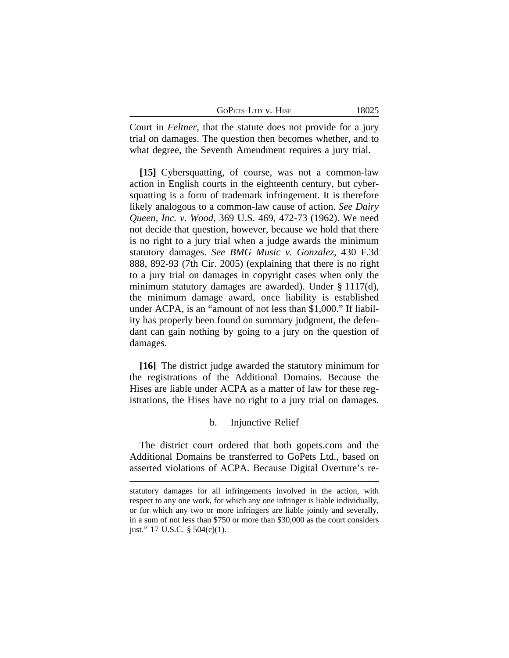| GoPets Ltd v. Hise |  |
|--------------------|--|
|--------------------|--|

Court in *Feltner*, that the statute does not provide for a jury trial on damages. The question then becomes whether, and to what degree, the Seventh Amendment requires a jury trial.

**[15]** Cybersquatting, of course, was not a common-law action in English courts in the eighteenth century, but cybersquatting is a form of trademark infringement. It is therefore likely analogous to a common-law cause of action. *See Dairy Queen, Inc. v. Wood*, 369 U.S. 469, 472-73 (1962). We need not decide that question, however, because we hold that there is no right to a jury trial when a judge awards the minimum statutory damages. *See BMG Music v. Gonzalez*, 430 F.3d 888, 892-93 (7th Cir. 2005) (explaining that there is no right to a jury trial on damages in copyright cases when only the minimum statutory damages are awarded). Under § 1117(d), the minimum damage award, once liability is established under ACPA, is an "amount of not less than \$1,000." If liability has properly been found on summary judgment, the defendant can gain nothing by going to a jury on the question of damages.

**[16]** The district judge awarded the statutory minimum for the registrations of the Additional Domains. Because the Hises are liable under ACPA as a matter of law for these registrations, the Hises have no right to a jury trial on damages.

## b. Injunctive Relief

The district court ordered that both gopets.com and the Additional Domains be transferred to GoPets Ltd., based on asserted violations of ACPA. Because Digital Overture's re-

statutory damages for all infringements involved in the action, with respect to any one work, for which any one infringer is liable individually, or for which any two or more infringers are liable jointly and severally, in a sum of not less than \$750 or more than \$30,000 as the court considers just." 17 U.S.C. § 504(c)(1).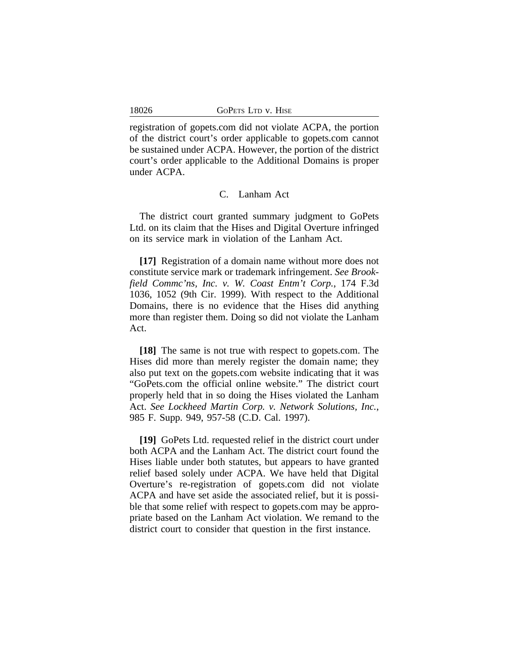registration of gopets.com did not violate ACPA, the portion of the district court's order applicable to gopets.com cannot be sustained under ACPA. However, the portion of the district court's order applicable to the Additional Domains is proper under ACPA.

### C. Lanham Act

The district court granted summary judgment to GoPets Ltd. on its claim that the Hises and Digital Overture infringed on its service mark in violation of the Lanham Act.

**[17]** Registration of a domain name without more does not constitute service mark or trademark infringement. *See Brookfield Commc'ns, Inc. v. W. Coast Entm't Corp.*, 174 F.3d 1036, 1052 (9th Cir. 1999). With respect to the Additional Domains, there is no evidence that the Hises did anything more than register them. Doing so did not violate the Lanham Act.

**[18]** The same is not true with respect to gopets.com. The Hises did more than merely register the domain name; they also put text on the gopets.com website indicating that it was "GoPets.com the official online website." The district court properly held that in so doing the Hises violated the Lanham Act. *See Lockheed Martin Corp. v. Network Solutions, Inc.*, 985 F. Supp. 949, 957-58 (C.D. Cal. 1997).

**[19]** GoPets Ltd. requested relief in the district court under both ACPA and the Lanham Act. The district court found the Hises liable under both statutes, but appears to have granted relief based solely under ACPA. We have held that Digital Overture's re-registration of gopets.com did not violate ACPA and have set aside the associated relief, but it is possible that some relief with respect to gopets.com may be appropriate based on the Lanham Act violation. We remand to the district court to consider that question in the first instance.